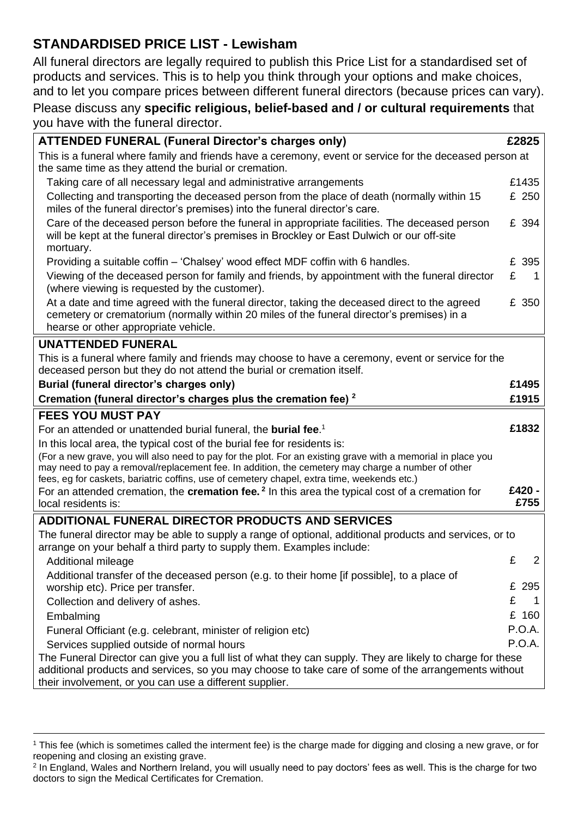# **STANDARDISED PRICE LIST - Lewisham**

All funeral directors are legally required to publish this Price List for a standardised set of products and services. This is to help you think through your options and make choices, and to let you compare prices between different funeral directors (because prices can vary).

## Please discuss any **specific religious, belief-based and / or cultural requirements** that you have with the funeral director.

| This is a funeral where family and friends have a ceremony, event or service for the deceased person at<br>£1435<br>Taking care of all necessary legal and administrative arrangements<br>Collecting and transporting the deceased person from the place of death (normally within 15<br>£ 250<br>miles of the funeral director's premises) into the funeral director's care.<br>Care of the deceased person before the funeral in appropriate facilities. The deceased person<br>£ 394<br>will be kept at the funeral director's premises in Brockley or East Dulwich or our off-site<br>mortuary.<br>Providing a suitable coffin – 'Chalsey' wood effect MDF coffin with 6 handles.<br>£ 395<br>£<br>Viewing of the deceased person for family and friends, by appointment with the funeral director<br>-1<br>(where viewing is requested by the customer).<br>£ 350<br>At a date and time agreed with the funeral director, taking the deceased direct to the agreed<br>cemetery or crematorium (normally within 20 miles of the funeral director's premises) in a<br>hearse or other appropriate vehicle.<br>This is a funeral where family and friends may choose to have a ceremony, event or service for the<br>deceased person but they do not attend the burial or cremation itself.<br>£1495<br>£1915<br>Cremation (funeral director's charges plus the cremation fee) <sup>2</sup><br>£1832<br>For an attended or unattended burial funeral, the <b>burial fee.</b> <sup>1</sup><br>In this local area, the typical cost of the burial fee for residents is:<br>(For a new grave, you will also need to pay for the plot. For an existing grave with a memorial in place you<br>may need to pay a removal/replacement fee. In addition, the cemetery may charge a number of other<br>fees, eg for caskets, bariatric coffins, use of cemetery chapel, extra time, weekends etc.)<br>£420 -<br>For an attended cremation, the <b>cremation fee.</b> $2 \text{ In this area, the typical cost of a creation for.}$<br>£755<br>local residents is:<br><b>ADDITIONAL FUNERAL DIRECTOR PRODUCTS AND SERVICES</b><br>The funeral director may be able to supply a range of optional, additional products and services, or to<br>arrange on your behalf a third party to supply them. Examples include:<br>£<br>$\overline{2}$<br><b>Additional mileage</b><br>Additional transfer of the deceased person (e.g. to their home [if possible], to a place of<br>£ 295<br>worship etc). Price per transfer.<br>£<br>Collection and delivery of ashes.<br>$\mathbf 1$<br>£ 160<br>Embalming<br>P.O.A.<br>Funeral Officiant (e.g. celebrant, minister of religion etc)<br><b>P.O.A.</b><br>Services supplied outside of normal hours<br>The Funeral Director can give you a full list of what they can supply. They are likely to charge for these<br>additional products and services, so you may choose to take care of some of the arrangements without | <b>ATTENDED FUNERAL (Funeral Director's charges only)</b> |  | £2825 |  |
|-----------------------------------------------------------------------------------------------------------------------------------------------------------------------------------------------------------------------------------------------------------------------------------------------------------------------------------------------------------------------------------------------------------------------------------------------------------------------------------------------------------------------------------------------------------------------------------------------------------------------------------------------------------------------------------------------------------------------------------------------------------------------------------------------------------------------------------------------------------------------------------------------------------------------------------------------------------------------------------------------------------------------------------------------------------------------------------------------------------------------------------------------------------------------------------------------------------------------------------------------------------------------------------------------------------------------------------------------------------------------------------------------------------------------------------------------------------------------------------------------------------------------------------------------------------------------------------------------------------------------------------------------------------------------------------------------------------------------------------------------------------------------------------------------------------------------------------------------------------------------------------------------------------------------------------------------------------------------------------------------------------------------------------------------------------------------------------------------------------------------------------------------------------------------------------------------------------------------------------------------------------------------------------------------------------------------------------------------------------------------------------------------------------------------------------------------------------------------------------------------------------------------------------------------------------------------------------------------------------------------------------------------------------------------------------------------------------------------------------------------------------------------------------------------------------------------------------------------------------------------------------------------------------------------------------------------------------|-----------------------------------------------------------|--|-------|--|
|                                                                                                                                                                                                                                                                                                                                                                                                                                                                                                                                                                                                                                                                                                                                                                                                                                                                                                                                                                                                                                                                                                                                                                                                                                                                                                                                                                                                                                                                                                                                                                                                                                                                                                                                                                                                                                                                                                                                                                                                                                                                                                                                                                                                                                                                                                                                                                                                                                                                                                                                                                                                                                                                                                                                                                                                                                                                                                                                                           | the same time as they attend the burial or cremation.     |  |       |  |
|                                                                                                                                                                                                                                                                                                                                                                                                                                                                                                                                                                                                                                                                                                                                                                                                                                                                                                                                                                                                                                                                                                                                                                                                                                                                                                                                                                                                                                                                                                                                                                                                                                                                                                                                                                                                                                                                                                                                                                                                                                                                                                                                                                                                                                                                                                                                                                                                                                                                                                                                                                                                                                                                                                                                                                                                                                                                                                                                                           |                                                           |  |       |  |
|                                                                                                                                                                                                                                                                                                                                                                                                                                                                                                                                                                                                                                                                                                                                                                                                                                                                                                                                                                                                                                                                                                                                                                                                                                                                                                                                                                                                                                                                                                                                                                                                                                                                                                                                                                                                                                                                                                                                                                                                                                                                                                                                                                                                                                                                                                                                                                                                                                                                                                                                                                                                                                                                                                                                                                                                                                                                                                                                                           |                                                           |  |       |  |
|                                                                                                                                                                                                                                                                                                                                                                                                                                                                                                                                                                                                                                                                                                                                                                                                                                                                                                                                                                                                                                                                                                                                                                                                                                                                                                                                                                                                                                                                                                                                                                                                                                                                                                                                                                                                                                                                                                                                                                                                                                                                                                                                                                                                                                                                                                                                                                                                                                                                                                                                                                                                                                                                                                                                                                                                                                                                                                                                                           |                                                           |  |       |  |
|                                                                                                                                                                                                                                                                                                                                                                                                                                                                                                                                                                                                                                                                                                                                                                                                                                                                                                                                                                                                                                                                                                                                                                                                                                                                                                                                                                                                                                                                                                                                                                                                                                                                                                                                                                                                                                                                                                                                                                                                                                                                                                                                                                                                                                                                                                                                                                                                                                                                                                                                                                                                                                                                                                                                                                                                                                                                                                                                                           |                                                           |  |       |  |
|                                                                                                                                                                                                                                                                                                                                                                                                                                                                                                                                                                                                                                                                                                                                                                                                                                                                                                                                                                                                                                                                                                                                                                                                                                                                                                                                                                                                                                                                                                                                                                                                                                                                                                                                                                                                                                                                                                                                                                                                                                                                                                                                                                                                                                                                                                                                                                                                                                                                                                                                                                                                                                                                                                                                                                                                                                                                                                                                                           |                                                           |  |       |  |
|                                                                                                                                                                                                                                                                                                                                                                                                                                                                                                                                                                                                                                                                                                                                                                                                                                                                                                                                                                                                                                                                                                                                                                                                                                                                                                                                                                                                                                                                                                                                                                                                                                                                                                                                                                                                                                                                                                                                                                                                                                                                                                                                                                                                                                                                                                                                                                                                                                                                                                                                                                                                                                                                                                                                                                                                                                                                                                                                                           |                                                           |  |       |  |
|                                                                                                                                                                                                                                                                                                                                                                                                                                                                                                                                                                                                                                                                                                                                                                                                                                                                                                                                                                                                                                                                                                                                                                                                                                                                                                                                                                                                                                                                                                                                                                                                                                                                                                                                                                                                                                                                                                                                                                                                                                                                                                                                                                                                                                                                                                                                                                                                                                                                                                                                                                                                                                                                                                                                                                                                                                                                                                                                                           | <b>UNATTENDED FUNERAL</b>                                 |  |       |  |
|                                                                                                                                                                                                                                                                                                                                                                                                                                                                                                                                                                                                                                                                                                                                                                                                                                                                                                                                                                                                                                                                                                                                                                                                                                                                                                                                                                                                                                                                                                                                                                                                                                                                                                                                                                                                                                                                                                                                                                                                                                                                                                                                                                                                                                                                                                                                                                                                                                                                                                                                                                                                                                                                                                                                                                                                                                                                                                                                                           |                                                           |  |       |  |
|                                                                                                                                                                                                                                                                                                                                                                                                                                                                                                                                                                                                                                                                                                                                                                                                                                                                                                                                                                                                                                                                                                                                                                                                                                                                                                                                                                                                                                                                                                                                                                                                                                                                                                                                                                                                                                                                                                                                                                                                                                                                                                                                                                                                                                                                                                                                                                                                                                                                                                                                                                                                                                                                                                                                                                                                                                                                                                                                                           | Burial (funeral director's charges only)                  |  |       |  |
|                                                                                                                                                                                                                                                                                                                                                                                                                                                                                                                                                                                                                                                                                                                                                                                                                                                                                                                                                                                                                                                                                                                                                                                                                                                                                                                                                                                                                                                                                                                                                                                                                                                                                                                                                                                                                                                                                                                                                                                                                                                                                                                                                                                                                                                                                                                                                                                                                                                                                                                                                                                                                                                                                                                                                                                                                                                                                                                                                           |                                                           |  |       |  |
|                                                                                                                                                                                                                                                                                                                                                                                                                                                                                                                                                                                                                                                                                                                                                                                                                                                                                                                                                                                                                                                                                                                                                                                                                                                                                                                                                                                                                                                                                                                                                                                                                                                                                                                                                                                                                                                                                                                                                                                                                                                                                                                                                                                                                                                                                                                                                                                                                                                                                                                                                                                                                                                                                                                                                                                                                                                                                                                                                           | <b>FEES YOU MUST PAY</b>                                  |  |       |  |
|                                                                                                                                                                                                                                                                                                                                                                                                                                                                                                                                                                                                                                                                                                                                                                                                                                                                                                                                                                                                                                                                                                                                                                                                                                                                                                                                                                                                                                                                                                                                                                                                                                                                                                                                                                                                                                                                                                                                                                                                                                                                                                                                                                                                                                                                                                                                                                                                                                                                                                                                                                                                                                                                                                                                                                                                                                                                                                                                                           |                                                           |  |       |  |
|                                                                                                                                                                                                                                                                                                                                                                                                                                                                                                                                                                                                                                                                                                                                                                                                                                                                                                                                                                                                                                                                                                                                                                                                                                                                                                                                                                                                                                                                                                                                                                                                                                                                                                                                                                                                                                                                                                                                                                                                                                                                                                                                                                                                                                                                                                                                                                                                                                                                                                                                                                                                                                                                                                                                                                                                                                                                                                                                                           |                                                           |  |       |  |
|                                                                                                                                                                                                                                                                                                                                                                                                                                                                                                                                                                                                                                                                                                                                                                                                                                                                                                                                                                                                                                                                                                                                                                                                                                                                                                                                                                                                                                                                                                                                                                                                                                                                                                                                                                                                                                                                                                                                                                                                                                                                                                                                                                                                                                                                                                                                                                                                                                                                                                                                                                                                                                                                                                                                                                                                                                                                                                                                                           |                                                           |  |       |  |
|                                                                                                                                                                                                                                                                                                                                                                                                                                                                                                                                                                                                                                                                                                                                                                                                                                                                                                                                                                                                                                                                                                                                                                                                                                                                                                                                                                                                                                                                                                                                                                                                                                                                                                                                                                                                                                                                                                                                                                                                                                                                                                                                                                                                                                                                                                                                                                                                                                                                                                                                                                                                                                                                                                                                                                                                                                                                                                                                                           |                                                           |  |       |  |
|                                                                                                                                                                                                                                                                                                                                                                                                                                                                                                                                                                                                                                                                                                                                                                                                                                                                                                                                                                                                                                                                                                                                                                                                                                                                                                                                                                                                                                                                                                                                                                                                                                                                                                                                                                                                                                                                                                                                                                                                                                                                                                                                                                                                                                                                                                                                                                                                                                                                                                                                                                                                                                                                                                                                                                                                                                                                                                                                                           |                                                           |  |       |  |
|                                                                                                                                                                                                                                                                                                                                                                                                                                                                                                                                                                                                                                                                                                                                                                                                                                                                                                                                                                                                                                                                                                                                                                                                                                                                                                                                                                                                                                                                                                                                                                                                                                                                                                                                                                                                                                                                                                                                                                                                                                                                                                                                                                                                                                                                                                                                                                                                                                                                                                                                                                                                                                                                                                                                                                                                                                                                                                                                                           |                                                           |  |       |  |
|                                                                                                                                                                                                                                                                                                                                                                                                                                                                                                                                                                                                                                                                                                                                                                                                                                                                                                                                                                                                                                                                                                                                                                                                                                                                                                                                                                                                                                                                                                                                                                                                                                                                                                                                                                                                                                                                                                                                                                                                                                                                                                                                                                                                                                                                                                                                                                                                                                                                                                                                                                                                                                                                                                                                                                                                                                                                                                                                                           |                                                           |  |       |  |
|                                                                                                                                                                                                                                                                                                                                                                                                                                                                                                                                                                                                                                                                                                                                                                                                                                                                                                                                                                                                                                                                                                                                                                                                                                                                                                                                                                                                                                                                                                                                                                                                                                                                                                                                                                                                                                                                                                                                                                                                                                                                                                                                                                                                                                                                                                                                                                                                                                                                                                                                                                                                                                                                                                                                                                                                                                                                                                                                                           |                                                           |  |       |  |
|                                                                                                                                                                                                                                                                                                                                                                                                                                                                                                                                                                                                                                                                                                                                                                                                                                                                                                                                                                                                                                                                                                                                                                                                                                                                                                                                                                                                                                                                                                                                                                                                                                                                                                                                                                                                                                                                                                                                                                                                                                                                                                                                                                                                                                                                                                                                                                                                                                                                                                                                                                                                                                                                                                                                                                                                                                                                                                                                                           |                                                           |  |       |  |
|                                                                                                                                                                                                                                                                                                                                                                                                                                                                                                                                                                                                                                                                                                                                                                                                                                                                                                                                                                                                                                                                                                                                                                                                                                                                                                                                                                                                                                                                                                                                                                                                                                                                                                                                                                                                                                                                                                                                                                                                                                                                                                                                                                                                                                                                                                                                                                                                                                                                                                                                                                                                                                                                                                                                                                                                                                                                                                                                                           |                                                           |  |       |  |
|                                                                                                                                                                                                                                                                                                                                                                                                                                                                                                                                                                                                                                                                                                                                                                                                                                                                                                                                                                                                                                                                                                                                                                                                                                                                                                                                                                                                                                                                                                                                                                                                                                                                                                                                                                                                                                                                                                                                                                                                                                                                                                                                                                                                                                                                                                                                                                                                                                                                                                                                                                                                                                                                                                                                                                                                                                                                                                                                                           |                                                           |  |       |  |
|                                                                                                                                                                                                                                                                                                                                                                                                                                                                                                                                                                                                                                                                                                                                                                                                                                                                                                                                                                                                                                                                                                                                                                                                                                                                                                                                                                                                                                                                                                                                                                                                                                                                                                                                                                                                                                                                                                                                                                                                                                                                                                                                                                                                                                                                                                                                                                                                                                                                                                                                                                                                                                                                                                                                                                                                                                                                                                                                                           |                                                           |  |       |  |
| their involvement, or you can use a different supplier.                                                                                                                                                                                                                                                                                                                                                                                                                                                                                                                                                                                                                                                                                                                                                                                                                                                                                                                                                                                                                                                                                                                                                                                                                                                                                                                                                                                                                                                                                                                                                                                                                                                                                                                                                                                                                                                                                                                                                                                                                                                                                                                                                                                                                                                                                                                                                                                                                                                                                                                                                                                                                                                                                                                                                                                                                                                                                                   |                                                           |  |       |  |

<sup>&</sup>lt;sup>1</sup> This fee (which is sometimes called the interment fee) is the charge made for digging and closing a new grave, or for reopening and closing an existing grave.

<sup>2</sup> In England, Wales and Northern Ireland, you will usually need to pay doctors' fees as well. This is the charge for two doctors to sign the Medical Certificates for Cremation.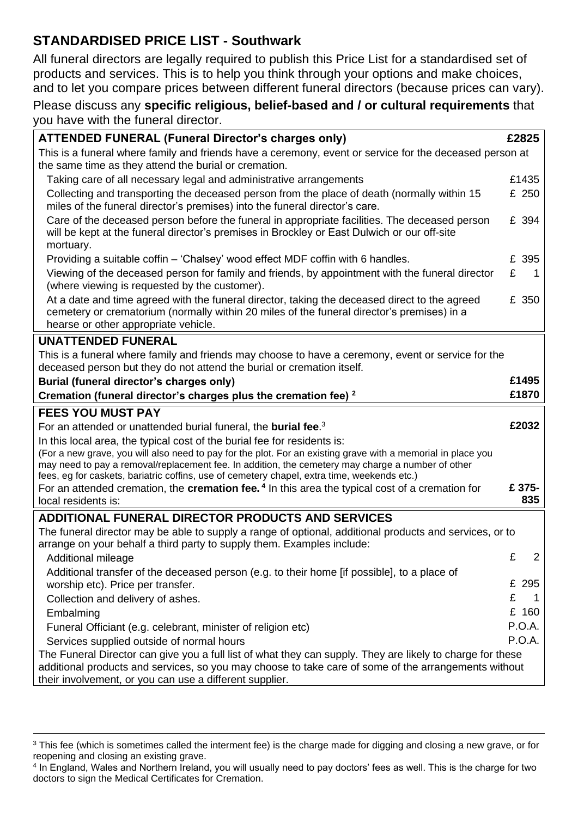# **STANDARDISED PRICE LIST - Southwark**

All funeral directors are legally required to publish this Price List for a standardised set of products and services. This is to help you think through your options and make choices, and to let you compare prices between different funeral directors (because prices can vary).

## Please discuss any **specific religious, belief-based and / or cultural requirements** that you have with the funeral director.

| <b>ATTENDED FUNERAL (Funeral Director's charges only)</b>                                                                                                                                                                                                                     |   | £2825          |  |
|-------------------------------------------------------------------------------------------------------------------------------------------------------------------------------------------------------------------------------------------------------------------------------|---|----------------|--|
| This is a funeral where family and friends have a ceremony, event or service for the deceased person at<br>the same time as they attend the burial or cremation.                                                                                                              |   |                |  |
| Taking care of all necessary legal and administrative arrangements                                                                                                                                                                                                            |   | £1435          |  |
| Collecting and transporting the deceased person from the place of death (normally within 15<br>miles of the funeral director's premises) into the funeral director's care.                                                                                                    |   | £ 250          |  |
| Care of the deceased person before the funeral in appropriate facilities. The deceased person<br>will be kept at the funeral director's premises in Brockley or East Dulwich or our off-site<br>mortuary.                                                                     |   | £ 394          |  |
| Providing a suitable coffin – 'Chalsey' wood effect MDF coffin with 6 handles.                                                                                                                                                                                                |   | £ 395          |  |
| Viewing of the deceased person for family and friends, by appointment with the funeral director<br>(where viewing is requested by the customer).                                                                                                                              | £ | 1              |  |
| At a date and time agreed with the funeral director, taking the deceased direct to the agreed<br>cemetery or crematorium (normally within 20 miles of the funeral director's premises) in a<br>hearse or other appropriate vehicle.                                           |   | £ 350          |  |
| <b>UNATTENDED FUNERAL</b>                                                                                                                                                                                                                                                     |   |                |  |
| This is a funeral where family and friends may choose to have a ceremony, event or service for the<br>deceased person but they do not attend the burial or cremation itself.                                                                                                  |   |                |  |
| Burial (funeral director's charges only)                                                                                                                                                                                                                                      |   | £1495          |  |
| Cremation (funeral director's charges plus the cremation fee) <sup>2</sup>                                                                                                                                                                                                    |   | £1870          |  |
| <b>FEES YOU MUST PAY</b>                                                                                                                                                                                                                                                      |   |                |  |
| For an attended or unattended burial funeral, the <b>burial fee.</b> <sup>3</sup>                                                                                                                                                                                             |   | £2032          |  |
| In this local area, the typical cost of the burial fee for residents is:                                                                                                                                                                                                      |   |                |  |
| (For a new grave, you will also need to pay for the plot. For an existing grave with a memorial in place you                                                                                                                                                                  |   |                |  |
| may need to pay a removal/replacement fee. In addition, the cemetery may charge a number of other<br>fees, eg for caskets, bariatric coffins, use of cemetery chapel, extra time, weekends etc.)                                                                              |   |                |  |
| For an attended cremation, the cremation fee. <sup>4</sup> In this area the typical cost of a cremation for                                                                                                                                                                   |   | £ 375-         |  |
| local residents is:                                                                                                                                                                                                                                                           |   | 835            |  |
| <b>ADDITIONAL FUNERAL DIRECTOR PRODUCTS AND SERVICES</b>                                                                                                                                                                                                                      |   |                |  |
| The funeral director may be able to supply a range of optional, additional products and services, or to<br>arrange on your behalf a third party to supply them. Examples include:                                                                                             |   |                |  |
| <b>Additional mileage</b>                                                                                                                                                                                                                                                     | £ | $\overline{2}$ |  |
| Additional transfer of the deceased person (e.g. to their home [if possible], to a place of<br>worship etc). Price per transfer.                                                                                                                                              |   | £ 295          |  |
| Collection and delivery of ashes.                                                                                                                                                                                                                                             | £ |                |  |
| Embalming                                                                                                                                                                                                                                                                     |   | £ 160          |  |
| Funeral Officiant (e.g. celebrant, minister of religion etc)                                                                                                                                                                                                                  |   | P.O.A.         |  |
| Services supplied outside of normal hours                                                                                                                                                                                                                                     |   | P.O.A.         |  |
| The Funeral Director can give you a full list of what they can supply. They are likely to charge for these<br>additional products and services, so you may choose to take care of some of the arrangements without<br>their involvement, or you can use a different supplier. |   |                |  |

<sup>&</sup>lt;sup>3</sup> This fee (which is sometimes called the interment fee) is the charge made for digging and closing a new grave, or for reopening and closing an existing grave.

<sup>4</sup> In England, Wales and Northern Ireland, you will usually need to pay doctors' fees as well. This is the charge for two doctors to sign the Medical Certificates for Cremation.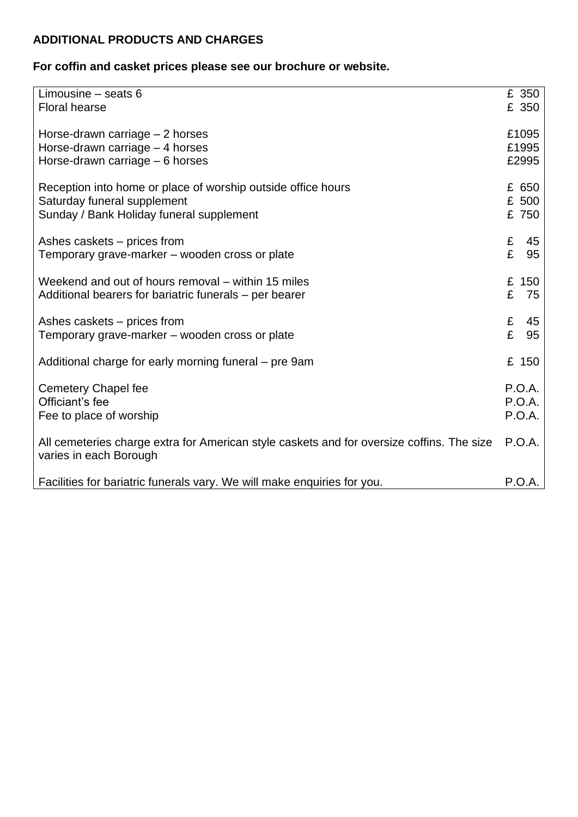# **ADDITIONAL PRODUCTS AND CHARGES**

# **For coffin and casket prices please see our brochure or website.**

| Limousine $-$ seats $6$<br><b>Floral hearse</b>                                                                                         | £ 350<br>£ 350                    |
|-----------------------------------------------------------------------------------------------------------------------------------------|-----------------------------------|
| Horse-drawn carriage – 2 horses<br>Horse-drawn carriage - 4 horses<br>Horse-drawn carriage - 6 horses                                   | £1095<br>£1995<br>£2995           |
| Reception into home or place of worship outside office hours<br>Saturday funeral supplement<br>Sunday / Bank Holiday funeral supplement | £ 650<br>£ 500<br>£ 750           |
| Ashes caskets – prices from<br>Temporary grave-marker – wooden cross or plate                                                           | £<br>45<br>£<br>95                |
| Weekend and out of hours removal – within 15 miles<br>Additional bearers for bariatric funerals – per bearer                            | £<br>150<br>£<br>75               |
| Ashes caskets – prices from<br>Temporary grave-marker – wooden cross or plate                                                           | £<br>45<br>£<br>95                |
| Additional charge for early morning funeral – pre 9am                                                                                   | £ 150                             |
| <b>Cemetery Chapel fee</b><br>Officiant's fee<br>Fee to place of worship                                                                | P.O.A.<br><b>P.O.A.</b><br>P.O.A. |
| All cemeteries charge extra for American style caskets and for oversize coffins. The size<br>varies in each Borough                     | <b>P.O.A.</b>                     |
| Facilities for bariatric funerals vary. We will make enquiries for you.                                                                 | P.O.A.                            |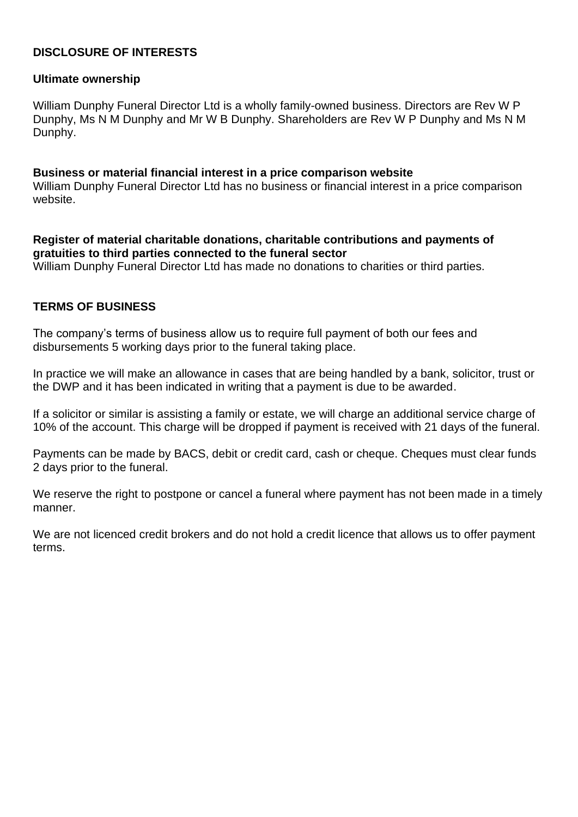### **DISCLOSURE OF INTERESTS**

### **Ultimate ownership**

William Dunphy Funeral Director Ltd is a wholly family-owned business. Directors are Rev W P Dunphy, Ms N M Dunphy and Mr W B Dunphy. Shareholders are Rev W P Dunphy and Ms N M Dunphy.

#### **Business or material financial interest in a price comparison website**

William Dunphy Funeral Director Ltd has no business or financial interest in a price comparison website.

### **Register of material charitable donations, charitable contributions and payments of gratuities to third parties connected to the funeral sector**

William Dunphy Funeral Director Ltd has made no donations to charities or third parties.

### **TERMS OF BUSINESS**

The company's terms of business allow us to require full payment of both our fees and disbursements 5 working days prior to the funeral taking place.

In practice we will make an allowance in cases that are being handled by a bank, solicitor, trust or the DWP and it has been indicated in writing that a payment is due to be awarded.

If a solicitor or similar is assisting a family or estate, we will charge an additional service charge of 10% of the account. This charge will be dropped if payment is received with 21 days of the funeral.

Payments can be made by BACS, debit or credit card, cash or cheque. Cheques must clear funds 2 days prior to the funeral.

We reserve the right to postpone or cancel a funeral where payment has not been made in a timely manner.

We are not licenced credit brokers and do not hold a credit licence that allows us to offer payment terms.